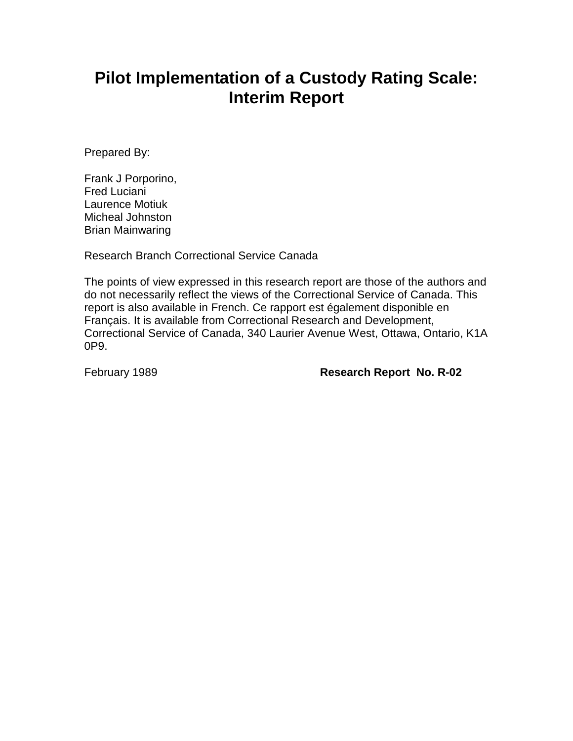# **Pilot Implementation of a Custody Rating Scale: Interim Report**

Prepared By:

Frank J Porporino, Fred Luciani Laurence Motiuk Micheal Johnston Brian Mainwaring

Research Branch Correctional Service Canada

The points of view expressed in this research report are those of the authors and do not necessarily reflect the views of the Correctional Service of Canada. This report is also available in French. Ce rapport est également disponible en Français. It is available from Correctional Research and Development, Correctional Service of Canada, 340 Laurier Avenue West, Ottawa, Ontario, K1A 0P9.

February 1989 **Research Report No. R-02**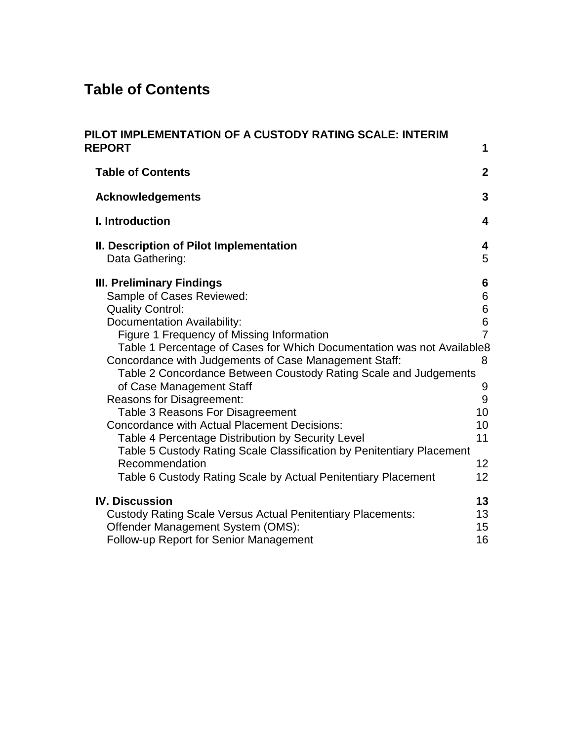## **Table of Contents**

| PILOT IMPLEMENTATION OF A CUSTODY RATING SCALE: INTERIM<br><b>REPORT</b>                                                                                                                                                                                                                                                                                                                                                                                                                                                                                                                                                                                                                                                                                | 1                                                                               |
|---------------------------------------------------------------------------------------------------------------------------------------------------------------------------------------------------------------------------------------------------------------------------------------------------------------------------------------------------------------------------------------------------------------------------------------------------------------------------------------------------------------------------------------------------------------------------------------------------------------------------------------------------------------------------------------------------------------------------------------------------------|---------------------------------------------------------------------------------|
| <b>Table of Contents</b>                                                                                                                                                                                                                                                                                                                                                                                                                                                                                                                                                                                                                                                                                                                                | $\overline{2}$                                                                  |
| <b>Acknowledgements</b>                                                                                                                                                                                                                                                                                                                                                                                                                                                                                                                                                                                                                                                                                                                                 | $\overline{3}$                                                                  |
| I. Introduction                                                                                                                                                                                                                                                                                                                                                                                                                                                                                                                                                                                                                                                                                                                                         | 4                                                                               |
| II. Description of Pilot Implementation<br>Data Gathering:                                                                                                                                                                                                                                                                                                                                                                                                                                                                                                                                                                                                                                                                                              | 4<br>5                                                                          |
| <b>III. Preliminary Findings</b><br>Sample of Cases Reviewed:<br><b>Quality Control:</b><br><b>Documentation Availability:</b><br>Figure 1 Frequency of Missing Information<br>Table 1 Percentage of Cases for Which Documentation was not Available8<br>Concordance with Judgements of Case Management Staff:<br>Table 2 Concordance Between Coustody Rating Scale and Judgements<br>of Case Management Staff<br>Reasons for Disagreement:<br>Table 3 Reasons For Disagreement<br><b>Concordance with Actual Placement Decisions:</b><br>Table 4 Percentage Distribution by Security Level<br>Table 5 Custody Rating Scale Classification by Penitentiary Placement<br>Recommendation<br>Table 6 Custody Rating Scale by Actual Penitentiary Placement | 6<br>6<br>6<br>6<br>$\overline{7}$<br>8<br>9<br>9<br>10<br>10<br>11<br>12<br>12 |
| <b>IV. Discussion</b><br><b>Custody Rating Scale Versus Actual Penitentiary Placements:</b><br>Offender Management System (OMS):<br>Follow-up Report for Senior Management                                                                                                                                                                                                                                                                                                                                                                                                                                                                                                                                                                              | 13<br>13<br>15<br>16                                                            |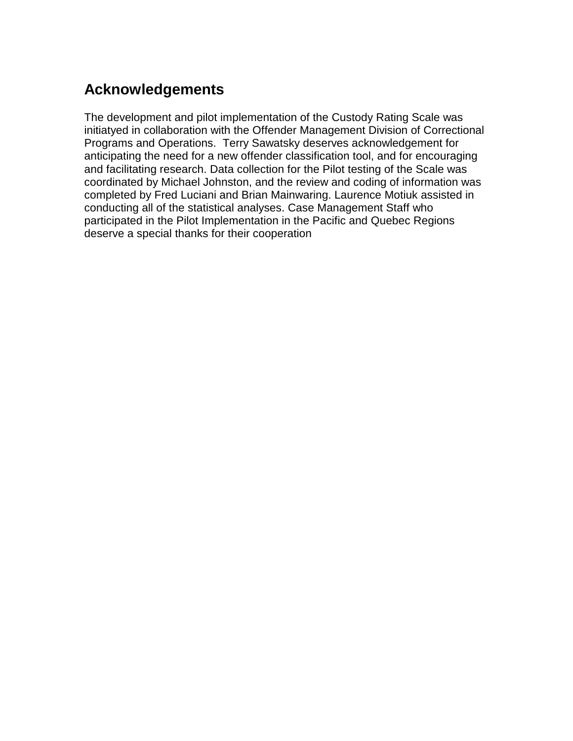## **Acknowledgements**

The development and pilot implementation of the Custody Rating Scale was initiatyed in collaboration with the Offender Management Division of Correctional Programs and Operations. Terry Sawatsky deserves acknowledgement for anticipating the need for a new offender classification tool, and for encouraging and facilitating research. Data collection for the Pilot testing of the Scale was coordinated by Michael Johnston, and the review and coding of information was completed by Fred Luciani and Brian Mainwaring. Laurence Motiuk assisted in conducting all of the statistical analyses. Case Management Staff who participated in the Pilot Implementation in the Pacific and Quebec Regions deserve a special thanks for their cooperation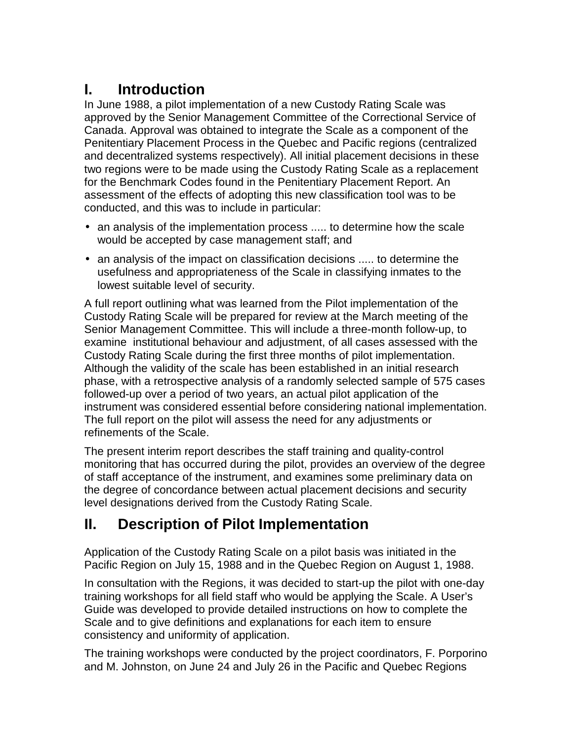# **I. Introduction**

In June 1988, a pilot implementation of a new Custody Rating Scale was approved by the Senior Management Committee of the Correctional Service of Canada. Approval was obtained to integrate the Scale as a component of the Penitentiary Placement Process in the Quebec and Pacific regions (centralized and decentralized systems respectively). All initial placement decisions in these two regions were to be made using the Custody Rating Scale as a replacement for the Benchmark Codes found in the Penitentiary Placement Report. An assessment of the effects of adopting this new classification tool was to be conducted, and this was to include in particular:

- an analysis of the implementation process ..... to determine how the scale would be accepted by case management staff; and
- an analysis of the impact on classification decisions ..... to determine the usefulness and appropriateness of the Scale in classifying inmates to the lowest suitable level of security.

A full report outlining what was learned from the Pilot implementation of the Custody Rating Scale will be prepared for review at the March meeting of the Senior Management Committee. This will include a three-month follow-up, to examine institutional behaviour and adjustment, of all cases assessed with the Custody Rating Scale during the first three months of pilot implementation. Although the validity of the scale has been established in an initial research phase, with a retrospective analysis of a randomly selected sample of 575 cases followed-up over a period of two years, an actual pilot application of the instrument was considered essential before considering national implementation. The full report on the pilot will assess the need for any adjustments or refinements of the Scale.

The present interim report describes the staff training and quality-control monitoring that has occurred during the pilot, provides an overview of the degree of staff acceptance of the instrument, and examines some preliminary data on the degree of concordance between actual placement decisions and security level designations derived from the Custody Rating Scale.

## **II. Description of Pilot Implementation**

Application of the Custody Rating Scale on a pilot basis was initiated in the Pacific Region on July 15, 1988 and in the Quebec Region on August 1, 1988.

In consultation with the Regions, it was decided to start-up the pilot with one-day training workshops for all field staff who would be applying the Scale. A User's Guide was developed to provide detailed instructions on how to complete the Scale and to give definitions and explanations for each item to ensure consistency and uniformity of application.

The training workshops were conducted by the project coordinators, F. Porporino and M. Johnston, on June 24 and July 26 in the Pacific and Quebec Regions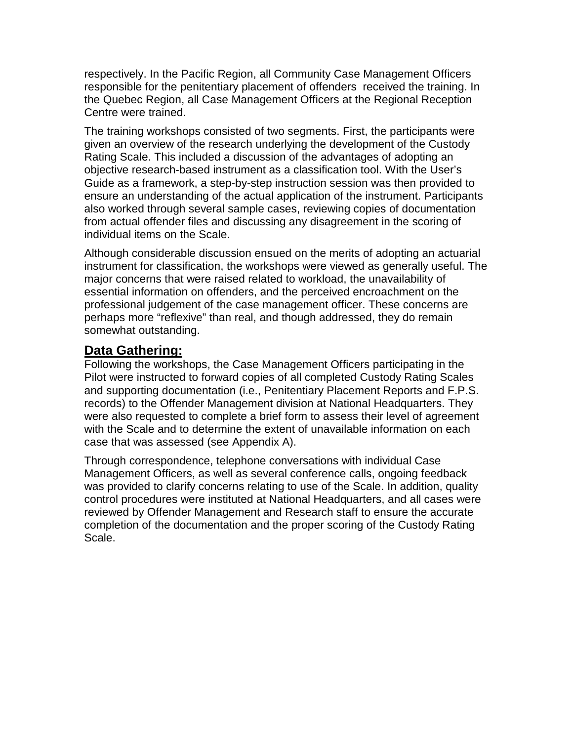respectively. In the Pacific Region, all Community Case Management Officers responsible for the penitentiary placement of offenders received the training. In the Quebec Region, all Case Management Officers at the Regional Reception Centre were trained.

The training workshops consisted of two segments. First, the participants were given an overview of the research underlying the development of the Custody Rating Scale. This included a discussion of the advantages of adopting an objective research-based instrument as a classification tool. With the User's Guide as a framework, a step-by-step instruction session was then provided to ensure an understanding of the actual application of the instrument. Participants also worked through several sample cases, reviewing copies of documentation from actual offender files and discussing any disagreement in the scoring of individual items on the Scale.

Although considerable discussion ensued on the merits of adopting an actuarial instrument for classification, the workshops were viewed as generally useful. The major concerns that were raised related to workload, the unavailability of essential information on offenders, and the perceived encroachment on the professional judgement of the case management officer. These concerns are perhaps more "reflexive" than real, and though addressed, they do remain somewhat outstanding.

### **Data Gathering:**

Following the workshops, the Case Management Officers participating in the Pilot were instructed to forward copies of all completed Custody Rating Scales and supporting documentation (i.e., Penitentiary Placement Reports and F.P.S. records) to the Offender Management division at National Headquarters. They were also requested to complete a brief form to assess their level of agreement with the Scale and to determine the extent of unavailable information on each case that was assessed (see Appendix A).

Through correspondence, telephone conversations with individual Case Management Officers, as well as several conference calls, ongoing feedback was provided to clarify concerns relating to use of the Scale. In addition, quality control procedures were instituted at National Headquarters, and all cases were reviewed by Offender Management and Research staff to ensure the accurate completion of the documentation and the proper scoring of the Custody Rating Scale.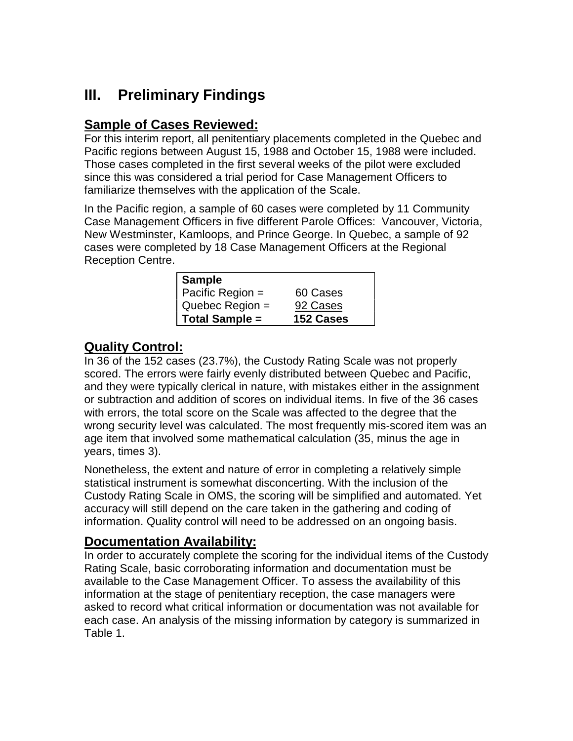## **III. Preliminary Findings**

## **Sample of Cases Reviewed:**

For this interim report, all penitentiary placements completed in the Quebec and Pacific regions between August 15, 1988 and October 15, 1988 were included. Those cases completed in the first several weeks of the pilot were excluded since this was considered a trial period for Case Management Officers to familiarize themselves with the application of the Scale.

In the Pacific region, a sample of 60 cases were completed by 11 Community Case Management Officers in five different Parole Offices: Vancouver, Victoria, New Westminster, Kamloops, and Prince George. In Quebec, a sample of 92 cases were completed by 18 Case Management Officers at the Regional Reception Centre.

| <b>Sample</b>         |           |
|-----------------------|-----------|
| Pacific Region =      | 60 Cases  |
| Quebec Region =       | 92 Cases  |
| <b>Total Sample =</b> | 152 Cases |

## **Quality Control:**

In 36 of the 152 cases (23.7%), the Custody Rating Scale was not properly scored. The errors were fairly evenly distributed between Quebec and Pacific, and they were typically clerical in nature, with mistakes either in the assignment or subtraction and addition of scores on individual items. In five of the 36 cases with errors, the total score on the Scale was affected to the degree that the wrong security level was calculated. The most frequently mis-scored item was an age item that involved some mathematical calculation (35, minus the age in years, times 3).

Nonetheless, the extent and nature of error in completing a relatively simple statistical instrument is somewhat disconcerting. With the inclusion of the Custody Rating Scale in OMS, the scoring will be simplified and automated. Yet accuracy will still depend on the care taken in the gathering and coding of information. Quality control will need to be addressed on an ongoing basis.

### **Documentation Availability:**

In order to accurately complete the scoring for the individual items of the Custody Rating Scale, basic corroborating information and documentation must be available to the Case Management Officer. To assess the availability of this information at the stage of penitentiary reception, the case managers were asked to record what critical information or documentation was not available for each case. An analysis of the missing information by category is summarized in Table 1.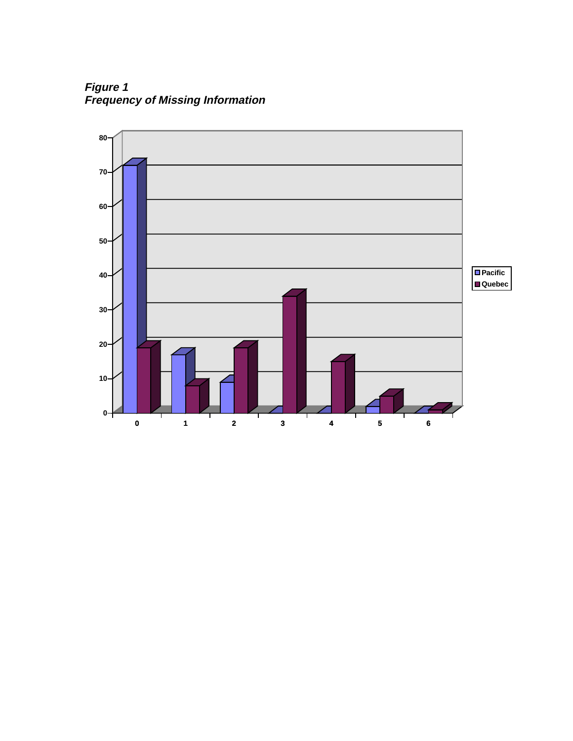**Figure 1 Frequency of Missing Information**

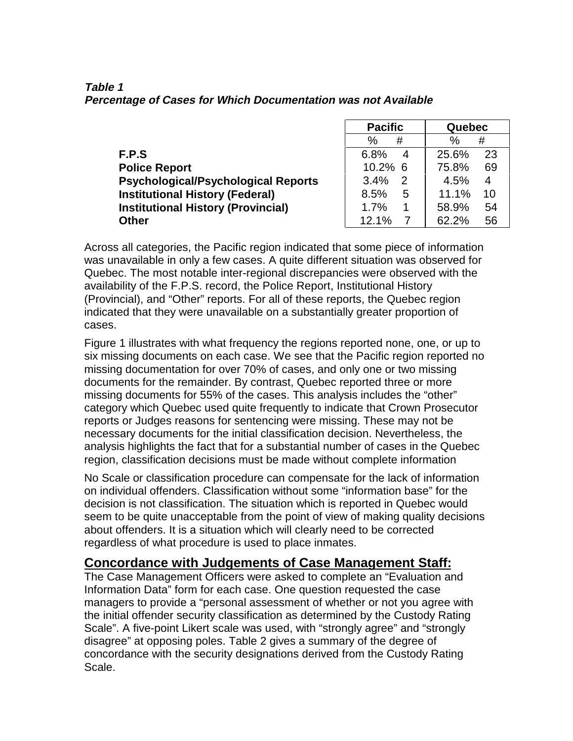**Table 1 Percentage of Cases for Which Documentation was not Available**

|                                            | <b>Pacific</b>        | Quebec                 |
|--------------------------------------------|-----------------------|------------------------|
|                                            | %<br>#                | $\%$<br>#              |
| F.P.S                                      | 6.8%<br>4             | 25.6%<br>23            |
| <b>Police Report</b>                       | 10.2% 6               | 75.8%<br>69            |
| <b>Psychological/Psychological Reports</b> | 3.4%<br>$\mathcal{P}$ | 4.5%<br>$\overline{4}$ |
| <b>Institutional History (Federal)</b>     | 8.5%<br>5             | 11.1%<br>10            |
| <b>Institutional History (Provincial)</b>  | 1.7%<br>1             | 58.9%<br>54            |
| <b>Other</b>                               | 12.1%                 | 62.2%<br>56            |

Across all categories, the Pacific region indicated that some piece of information was unavailable in only a few cases. A quite different situation was observed for Quebec. The most notable inter-regional discrepancies were observed with the availability of the F.P.S. record, the Police Report, Institutional History (Provincial), and "Other" reports. For all of these reports, the Quebec region indicated that they were unavailable on a substantially greater proportion of cases.

Figure 1 illustrates with what frequency the regions reported none, one, or up to six missing documents on each case. We see that the Pacific region reported no missing documentation for over 70% of cases, and only one or two missing documents for the remainder. By contrast, Quebec reported three or more missing documents for 55% of the cases. This analysis includes the "other" category which Quebec used quite frequently to indicate that Crown Prosecutor reports or Judges reasons for sentencing were missing. These may not be necessary documents for the initial classification decision. Nevertheless, the analysis highlights the fact that for a substantial number of cases in the Quebec region, classification decisions must be made without complete information

No Scale or classification procedure can compensate for the lack of information on individual offenders. Classification without some "information base" for the decision is not classification. The situation which is reported in Quebec would seem to be quite unacceptable from the point of view of making quality decisions about offenders. It is a situation which will clearly need to be corrected regardless of what procedure is used to place inmates.

### **Concordance with Judgements of Case Management Staff:**

The Case Management Officers were asked to complete an "Evaluation and Information Data" form for each case. One question requested the case managers to provide a "personal assessment of whether or not you agree with the initial offender security classification as determined by the Custody Rating Scale". A five-point Likert scale was used, with "strongly agree" and "strongly disagree" at opposing poles. Table 2 gives a summary of the degree of concordance with the security designations derived from the Custody Rating Scale.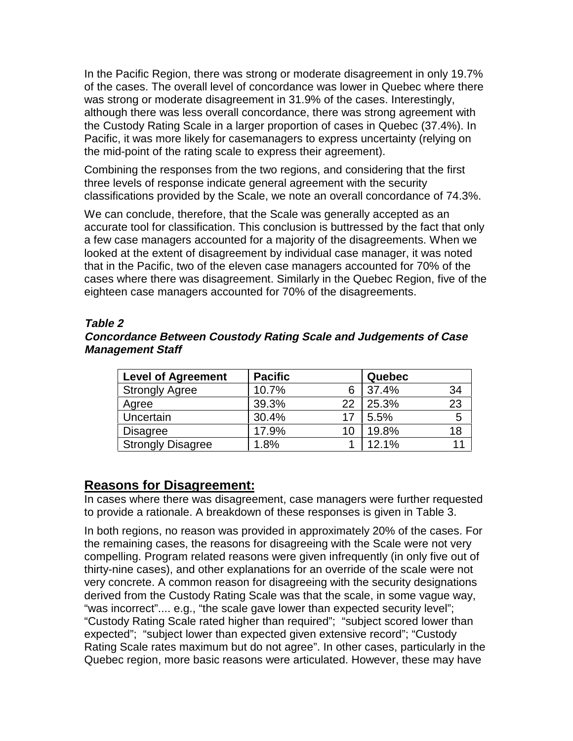In the Pacific Region, there was strong or moderate disagreement in only 19.7% of the cases. The overall level of concordance was lower in Quebec where there was strong or moderate disagreement in 31.9% of the cases. Interestingly, although there was less overall concordance, there was strong agreement with the Custody Rating Scale in a larger proportion of cases in Quebec (37.4%). In Pacific, it was more likely for casemanagers to express uncertainty (relying on the mid-point of the rating scale to express their agreement).

Combining the responses from the two regions, and considering that the first three levels of response indicate general agreement with the security classifications provided by the Scale, we note an overall concordance of 74.3%.

We can conclude, therefore, that the Scale was generally accepted as an accurate tool for classification. This conclusion is buttressed by the fact that only a few case managers accounted for a majority of the disagreements. When we looked at the extent of disagreement by individual case manager, it was noted that in the Pacific, two of the eleven case managers accounted for 70% of the cases where there was disagreement. Similarly in the Quebec Region, five of the eighteen case managers accounted for 70% of the disagreements.

#### **Table 2**

#### **Concordance Between Coustody Rating Scale and Judgements of Case Management Staff**

| <b>Level of Agreement</b> | <b>Pacific</b> |    | Quebec |    |
|---------------------------|----------------|----|--------|----|
| <b>Strongly Agree</b>     | 10.7%          |    | 37.4%  | 34 |
| Agree                     | 39.3%          | 22 | 25.3%  | 23 |
| Uncertain                 | 30.4%          | 17 | 5.5%   | 5  |
| <b>Disagree</b>           | 17.9%          | 10 | 19.8%  | 18 |
| <b>Strongly Disagree</b>  | 1.8%           |    | 12.1%  | 11 |

#### **Reasons for Disagreement:**

In cases where there was disagreement, case managers were further requested to provide a rationale. A breakdown of these responses is given in Table 3.

In both regions, no reason was provided in approximately 20% of the cases. For the remaining cases, the reasons for disagreeing with the Scale were not very compelling. Program related reasons were given infrequently (in only five out of thirty-nine cases), and other explanations for an override of the scale were not very concrete. A common reason for disagreeing with the security designations derived from the Custody Rating Scale was that the scale, in some vague way, "was incorrect".... e.g., "the scale gave lower than expected security level"; "Custody Rating Scale rated higher than required"; "subject scored lower than expected"; "subject lower than expected given extensive record"; "Custody Rating Scale rates maximum but do not agree". In other cases, particularly in the Quebec region, more basic reasons were articulated. However, these may have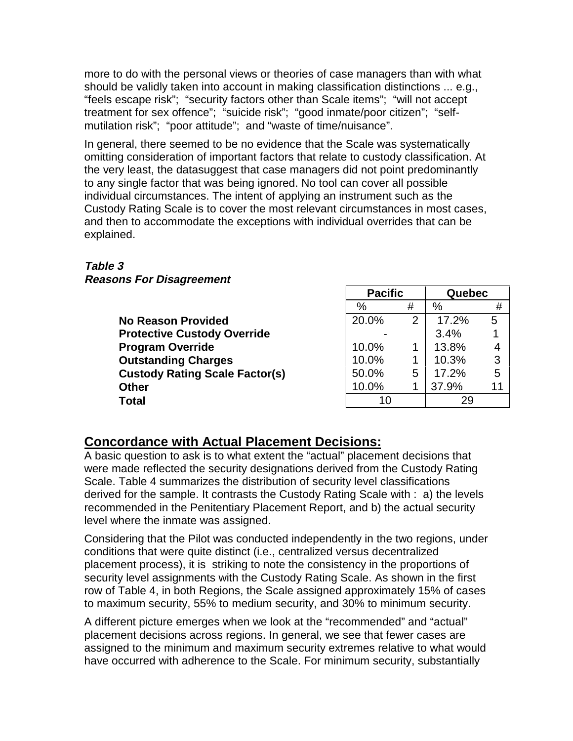more to do with the personal views or theories of case managers than with what should be validly taken into account in making classification distinctions ... e.g., "feels escape risk"; "security factors other than Scale items"; "will not accept treatment for sex offence"; "suicide risk"; "good inmate/poor citizen"; "selfmutilation risk"; "poor attitude"; and "waste of time/nuisance".

In general, there seemed to be no evidence that the Scale was systematically omitting consideration of important factors that relate to custody classification. At the very least, the datasuggest that case managers did not point predominantly to any single factor that was being ignored. No tool can cover all possible individual circumstances. The intent of applying an instrument such as the Custody Rating Scale is to cover the most relevant circumstances in most cases, and then to accommodate the exceptions with individual overrides that can be explained.

#### **Table 3**

**Reasons For Disagreement**

| $\%$  | #              | %     | #  |
|-------|----------------|-------|----|
| 20.0% | $\overline{2}$ | 17.2% | 5  |
|       |                | 3.4%  |    |
| 10.0% |                | 13.8% | 4  |
| 10.0% |                | 10.3% | 3  |
| 50.0% | 5              | 17.2% | 5  |
| 10.0% |                | 37.9% | 11 |
| 10    |                | 29    |    |
|       |                |       |    |

**Pacific Quebec**

### **Concordance with Actual Placement Decisions:**

A basic question to ask is to what extent the "actual" placement decisions that were made reflected the security designations derived from the Custody Rating Scale. Table 4 summarizes the distribution of security level classifications derived for the sample. It contrasts the Custody Rating Scale with : a) the levels recommended in the Penitentiary Placement Report, and b) the actual security level where the inmate was assigned.

Considering that the Pilot was conducted independently in the two regions, under conditions that were quite distinct (i.e., centralized versus decentralized placement process), it is striking to note the consistency in the proportions of security level assignments with the Custody Rating Scale. As shown in the first row of Table 4, in both Regions, the Scale assigned approximately 15% of cases to maximum security, 55% to medium security, and 30% to minimum security.

A different picture emerges when we look at the "recommended" and "actual" placement decisions across regions. In general, we see that fewer cases are assigned to the minimum and maximum security extremes relative to what would have occurred with adherence to the Scale. For minimum security, substantially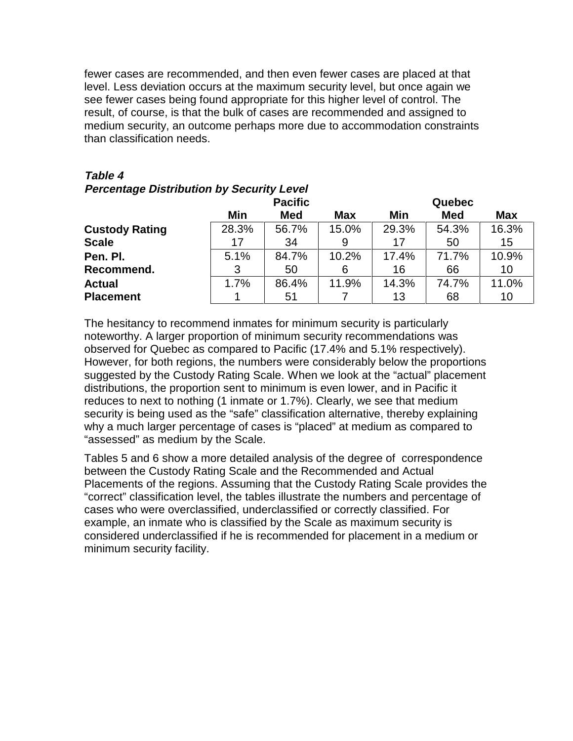fewer cases are recommended, and then even fewer cases are placed at that level. Less deviation occurs at the maximum security level, but once again we see fewer cases being found appropriate for this higher level of control. The result, of course, is that the bulk of cases are recommended and assigned to medium security, an outcome perhaps more due to accommodation constraints than classification needs.

| <b>Felcentage Distribution by Security Level</b> |                                                      |       |       |        |            |       |  |
|--------------------------------------------------|------------------------------------------------------|-------|-------|--------|------------|-------|--|
|                                                  | <b>Pacific</b>                                       |       |       | Quebec |            |       |  |
|                                                  | Min<br><b>Med</b><br><b>Med</b><br><b>Max</b><br>Min |       |       |        | <b>Max</b> |       |  |
| <b>Custody Rating</b>                            | 28.3%                                                | 56.7% | 15.0% | 29.3%  | 54.3%      | 16.3% |  |
| <b>Scale</b>                                     | 17                                                   | 34    | 9     | 17     | 50         | 15    |  |
| Pen. Pl.                                         | 5.1%                                                 | 84.7% | 10.2% | 17.4%  | 71.7%      | 10.9% |  |
| Recommend.                                       |                                                      | 50    | 6     | 16     | 66         | 10    |  |
| <b>Actual</b>                                    | 1.7%                                                 | 86.4% | 11.9% | 14.3%  | 74.7%      | 11.0% |  |
| <b>Placement</b>                                 |                                                      | 51    |       | 13     | 68         | 10    |  |

#### **Table 4**

**Percentage Distribution by Security Level**

The hesitancy to recommend inmates for minimum security is particularly noteworthy. A larger proportion of minimum security recommendations was observed for Quebec as compared to Pacific (17.4% and 5.1% respectively). However, for both regions, the numbers were considerably below the proportions suggested by the Custody Rating Scale. When we look at the "actual" placement distributions, the proportion sent to minimum is even lower, and in Pacific it reduces to next to nothing (1 inmate or 1.7%). Clearly, we see that medium security is being used as the "safe" classification alternative, thereby explaining why a much larger percentage of cases is "placed" at medium as compared to "assessed" as medium by the Scale.

Tables 5 and 6 show a more detailed analysis of the degree of correspondence between the Custody Rating Scale and the Recommended and Actual Placements of the regions. Assuming that the Custody Rating Scale provides the "correct" classification level, the tables illustrate the numbers and percentage of cases who were overclassified, underclassified or correctly classified. For example, an inmate who is classified by the Scale as maximum security is considered underclassified if he is recommended for placement in a medium or minimum security facility.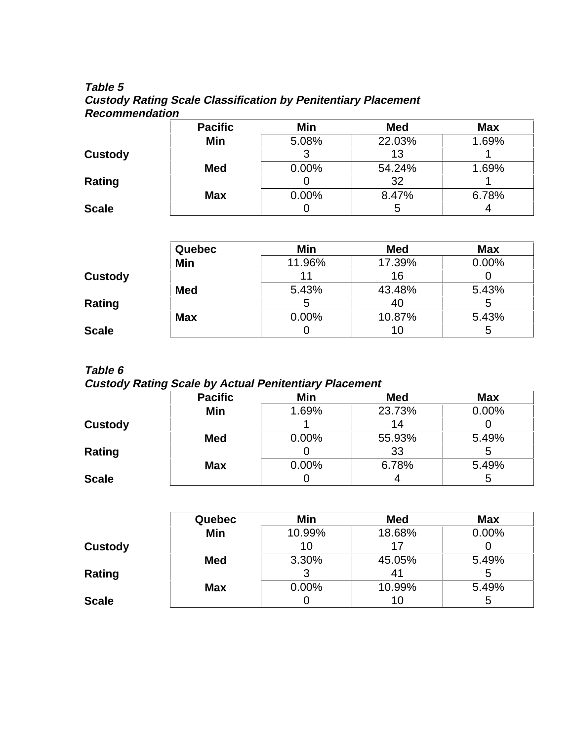#### **Table 5 Custody Rating Scale Classification by Penitentiary Placement Recommendation**

|                | <b>Pacific</b> | Min      | <b>Med</b> | <b>Max</b> |
|----------------|----------------|----------|------------|------------|
|                | Min            | 5.08%    | 22.03%     | 1.69%      |
| <b>Custody</b> |                |          | 13         |            |
|                | <b>Med</b>     | $0.00\%$ | 54.24%     | 1.69%      |
| Rating         |                |          | 32         |            |
|                | <b>Max</b>     | $0.00\%$ | 8.47%      | 6.78%      |
| <b>Scale</b>   |                |          | 5          |            |

|                | <b>Quebec</b> | Min      | <b>Med</b> | <b>Max</b> |
|----------------|---------------|----------|------------|------------|
|                | Min           | 11.96%   | 17.39%     | 0.00%      |
| <b>Custody</b> |               | 11       | 16         |            |
|                | <b>Med</b>    | 5.43%    | 43.48%     | 5.43%      |
| Rating         |               |          | 40         |            |
|                | <b>Max</b>    | $0.00\%$ | 10.87%     | 5.43%      |
| <b>Scale</b>   |               |          | 10         | b          |

#### **Table 6**

#### **Custody Rating Scale by Actual Penitentiary Placement**

|                | <b>Pacific</b> | Min   | <b>Med</b> | <b>Max</b> |
|----------------|----------------|-------|------------|------------|
|                | Min            | 1.69% | 23.73%     | $0.00\%$   |
| <b>Custody</b> |                |       | 14         |            |
|                | <b>Med</b>     | 0.00% | 55.93%     | 5.49%      |
| Rating         |                |       | 33         |            |
|                | <b>Max</b>     | 0.00% | 6.78%      | 5.49%      |
| <b>Scale</b>   |                |       |            |            |

|                | <b>Quebec</b> | Min      | <b>Med</b> | <b>Max</b> |
|----------------|---------------|----------|------------|------------|
|                | Min           | 10.99%   | 18.68%     | 0.00%      |
| <b>Custody</b> |               | 10       | 17         |            |
|                | <b>Med</b>    | 3.30%    | 45.05%     | 5.49%      |
| Rating         |               |          | 41         |            |
|                | <b>Max</b>    | $0.00\%$ | 10.99%     | 5.49%      |
| <b>Scale</b>   |               |          | 10         |            |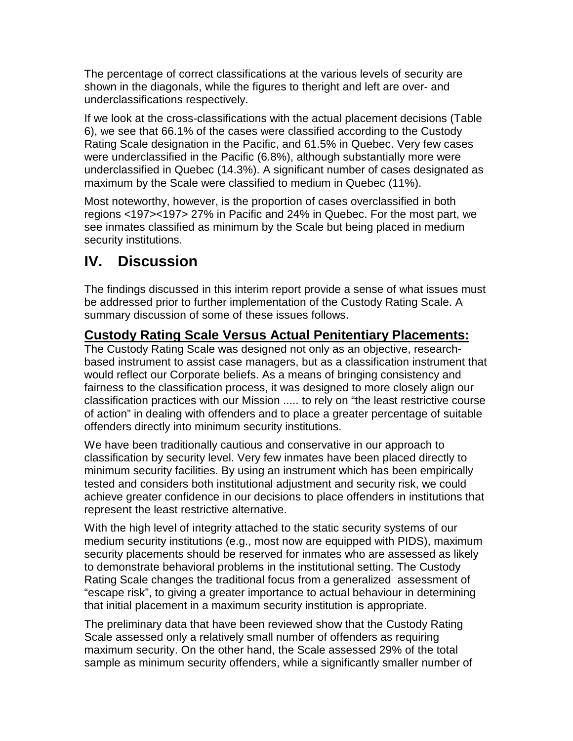The percentage of correct classifications at the various levels of security are shown in the diagonals, while the figures to theright and left are over- and underclassifications respectively.

If we look at the cross-classifications with the actual placement decisions (Table 6), we see that 66.1% of the cases were classified according to the Custody Rating Scale designation in the Pacific, and 61.5% in Quebec. Very few cases were underclassified in the Pacific (6.8%), although substantially more were underclassified in Quebec (14.3%). A significant number of cases designated as maximum by the Scale were classified to medium in Quebec (11%).

Most noteworthy, however, is the proportion of cases overclassified in both regions <197><197> 27% in Pacific and 24% in Quebec. For the most part, we see inmates classified as minimum by the Scale but being placed in medium security institutions.

## **IV. Discussion**

The findings discussed in this interim report provide a sense of what issues must be addressed prior to further implementation of the Custody Rating Scale. A summary discussion of some of these issues follows.

## **Custody Rating Scale Versus Actual Penitentiary Placements:**

The Custody Rating Scale was designed not only as an objective, researchbased instrument to assist case managers, but as a classification instrument that would reflect our Corporate beliefs. As a means of bringing consistency and fairness to the classification process, it was designed to more closely align our classification practices with our Mission ..... to rely on "the least restrictive course of action" in dealing with offenders and to place a greater percentage of suitable offenders directly into minimum security institutions.

We have been traditionally cautious and conservative in our approach to classification by security level. Very few inmates have been placed directly to minimum security facilities. By using an instrument which has been empirically tested and considers both institutional adjustment and security risk, we could achieve greater confidence in our decisions to place offenders in institutions that represent the least restrictive alternative.

With the high level of integrity attached to the static security systems of our medium security institutions (e.g., most now are equipped with PIDS), maximum security placements should be reserved for inmates who are assessed as likely to demonstrate behavioral problems in the institutional setting. The Custody Rating Scale changes the traditional focus from a generalized assessment of "escape risk", to giving a greater importance to actual behaviour in determining that initial placement in a maximum security institution is appropriate.

The preliminary data that have been reviewed show that the Custody Rating Scale assessed only a relatively small number of offenders as requiring maximum security. On the other hand, the Scale assessed 29% of the total sample as minimum security offenders, while a significantly smaller number of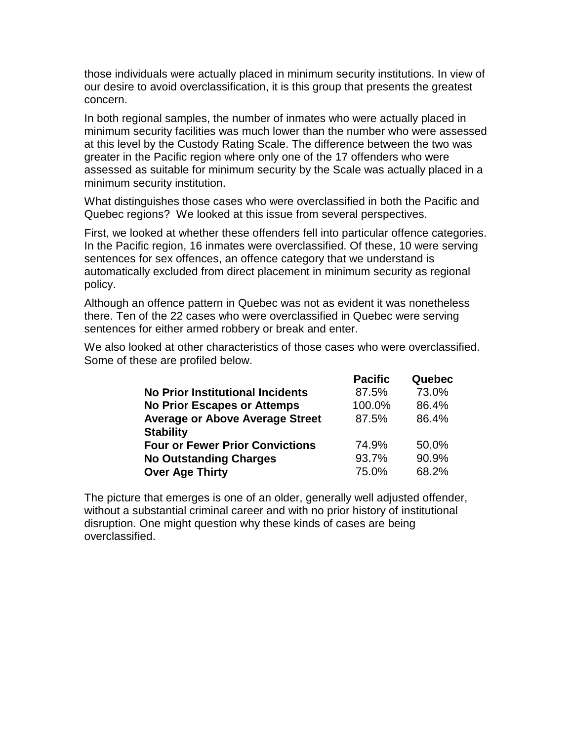those individuals were actually placed in minimum security institutions. In view of our desire to avoid overclassification, it is this group that presents the greatest concern.

In both regional samples, the number of inmates who were actually placed in minimum security facilities was much lower than the number who were assessed at this level by the Custody Rating Scale. The difference between the two was greater in the Pacific region where only one of the 17 offenders who were assessed as suitable for minimum security by the Scale was actually placed in a minimum security institution.

What distinguishes those cases who were overclassified in both the Pacific and Quebec regions? We looked at this issue from several perspectives.

First, we looked at whether these offenders fell into particular offence categories. In the Pacific region, 16 inmates were overclassified. Of these, 10 were serving sentences for sex offences, an offence category that we understand is automatically excluded from direct placement in minimum security as regional policy.

Although an offence pattern in Quebec was not as evident it was nonetheless there. Ten of the 22 cases who were overclassified in Quebec were serving sentences for either armed robbery or break and enter.

We also looked at other characteristics of those cases who were overclassified. Some of these are profiled below.

|                                         | <b>Pacific</b> | Quebec |
|-----------------------------------------|----------------|--------|
| <b>No Prior Institutional Incidents</b> | 87.5%          | 73.0%  |
| <b>No Prior Escapes or Attemps</b>      | 100.0%         | 86.4%  |
| <b>Average or Above Average Street</b>  | 87.5%          | 86.4%  |
| <b>Stability</b>                        |                |        |
| <b>Four or Fewer Prior Convictions</b>  | 74.9%          | 50.0%  |
| <b>No Outstanding Charges</b>           | 93.7%          | 90.9%  |
| <b>Over Age Thirty</b>                  | 75.0%          | 68.2%  |

The picture that emerges is one of an older, generally well adjusted offender, without a substantial criminal career and with no prior history of institutional disruption. One might question why these kinds of cases are being overclassified.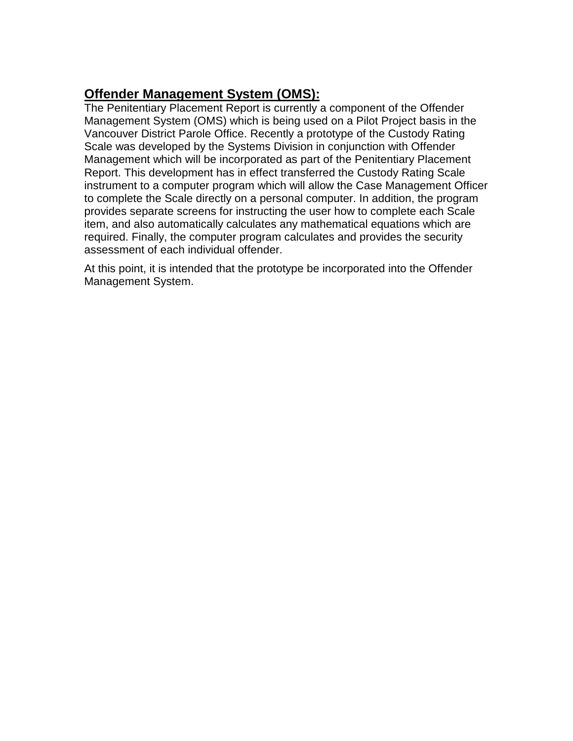## **Offender Management System (OMS):**

The Penitentiary Placement Report is currently a component of the Offender Management System (OMS) which is being used on a Pilot Project basis in the Vancouver District Parole Office. Recently a prototype of the Custody Rating Scale was developed by the Systems Division in conjunction with Offender Management which will be incorporated as part of the Penitentiary Placement Report. This development has in effect transferred the Custody Rating Scale instrument to a computer program which will allow the Case Management Officer to complete the Scale directly on a personal computer. In addition, the program provides separate screens for instructing the user how to complete each Scale item, and also automatically calculates any mathematical equations which are required. Finally, the computer program calculates and provides the security assessment of each individual offender.

At this point, it is intended that the prototype be incorporated into the Offender Management System.